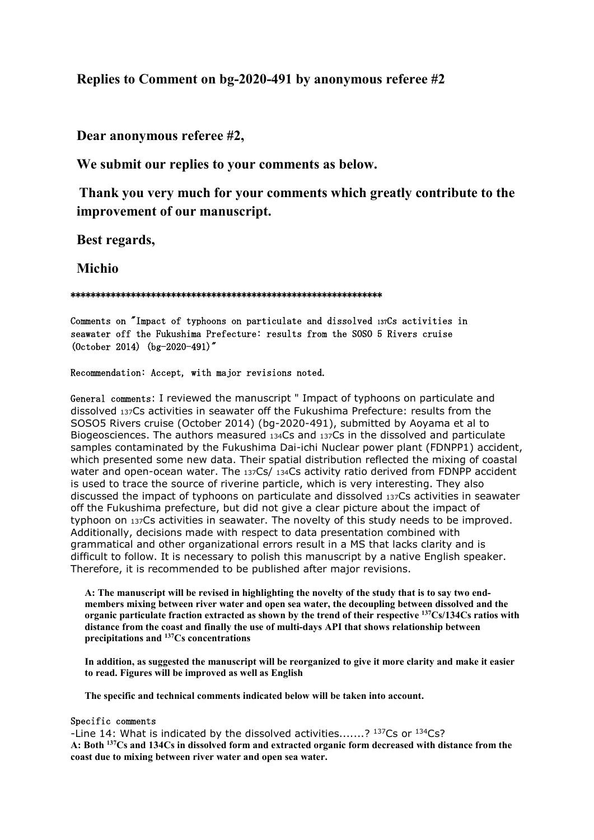## **Replies to Comment on bg-2020-491 by anonymous referee #2**

**Dear anonymous referee #2,**

**We submit our replies to your comments as below.**

**Thank you very much for your comments which greatly contribute to the improvement of our manuscript.**

**Best regards,**

**Michio**

## \*\*\*\*\*\*\*\*\*\*\*\*\*\*\*\*\*\*\*\*\*\*\*\*\*\*\*\*\*\*\*\*\*\*\*\*\*\*\*\*\*\*\*\*\*\*\*\*\*\*\*\*\*\*\*\*\*\*\*\*\*\*

Comments on "Impact of typhoons on particulate and dissolved 137Cs activities in seawater off the Fukushima Prefecture: results from the SOSO 5 Rivers cruise (October 2014) (bg-2020-491)"

## Recommendation: Accept, with major revisions noted.

General comments: I reviewed the manuscript " Impact of typhoons on particulate and dissolved 137Cs activities in seawater off the Fukushima Prefecture: results from the SOSO5 Rivers cruise (October 2014) (bg-2020-491), submitted by Aoyama et al to Biogeosciences. The authors measured 134Cs and 137Cs in the dissolved and particulate samples contaminated by the Fukushima Dai-ichi Nuclear power plant (FDNPP1) accident, which presented some new data. Their spatial distribution reflected the mixing of coastal water and open-ocean water. The 137Cs/ 134Cs activity ratio derived from FDNPP accident is used to trace the source of riverine particle, which is very interesting. They also discussed the impact of typhoons on particulate and dissolved 137Cs activities in seawater off the Fukushima prefecture, but did not give a clear picture about the impact of typhoon on 137Cs activities in seawater. The novelty of this study needs to be improved. Additionally, decisions made with respect to data presentation combined with grammatical and other organizational errors result in a MS that lacks clarity and is difficult to follow. It is necessary to polish this manuscript by a native English speaker. Therefore, it is recommended to be published after major revisions.

**A: The manuscript will be revised in highlighting the novelty of the study that is to say two endmembers mixing between river water and open sea water, the decoupling between dissolved and the organic particulate fraction extracted as shown by the trend of their respective 137Cs/134Cs ratios with distance from the coast and finally the use of multi-days API that shows relationship between precipitations and 137Cs concentrations**

**In addition, as suggested the manuscript will be reorganized to give it more clarity and make it easier to read. Figures will be improved as well as English**

**The specific and technical comments indicated below will be taken into account.**

## Specific comments

-Line 14: What is indicated by the dissolved activities.......? 137Cs or 134Cs? **A: Both 137Cs and 134Cs in dissolved form and extracted organic form decreased with distance from the coast due to mixing between river water and open sea water.**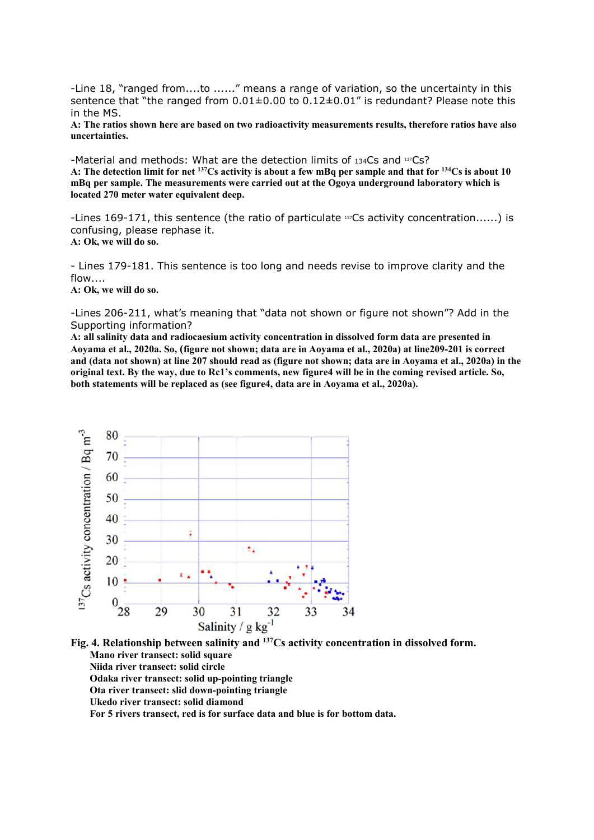-Line 18, "ranged from....to ......" means a range of variation, so the uncertainty in this sentence that "the ranged from  $0.01\pm0.00$  to  $0.12\pm0.01$ " is redundant? Please note this in the MS.

**A: The ratios shown here are based on two radioactivity measurements results, therefore ratios have also uncertainties.**

-Material and methods: What are the detection limits of 134Cs and 137Cs? **A: The detection limit for net 137Cs activity is about a few mBq per sample and that for 134Cs is about 10 mBq per sample. The measurements were carried out at the Ogoya underground laboratory which is located 270 meter water equivalent deep.**

-Lines 169-171, this sentence (the ratio of particulate  $137Cs$  activity concentration......) is confusing, please rephase it. **A: Ok, we will do so.**

- Lines 179-181. This sentence is too long and needs revise to improve clarity and the flow....

**A: Ok, we will do so.**

-Lines 206-211, what's meaning that "data not shown or figure not shown"? Add in the Supporting information?

**A: all salinity data and radiocaesium activity concentration in dissolved form data are presented in Aoyama et al., 2020a. So, (figure not shown; data are in Aoyama et al., 2020a) at line209-201 is correct and (data not shown) at line 207 should read as (figure not shown; data are in Aoyama et al., 2020a) in the original text. By the way, due to Rc1's comments, new figure4 will be in the coming revised article. So, both statements will be replaced as (see figure4, data are in Aoyama et al., 2020a).**



**Fig. 4. Relationship between salinity and 137Cs activity concentration in dissolved form. Mano river transect: solid square Niida river transect: solid circle Odaka river transect: solid up-pointing triangle Ota river transect: slid down-pointing triangle Ukedo river transect: solid diamond For 5 rivers transect, red is for surface data and blue is for bottom data.**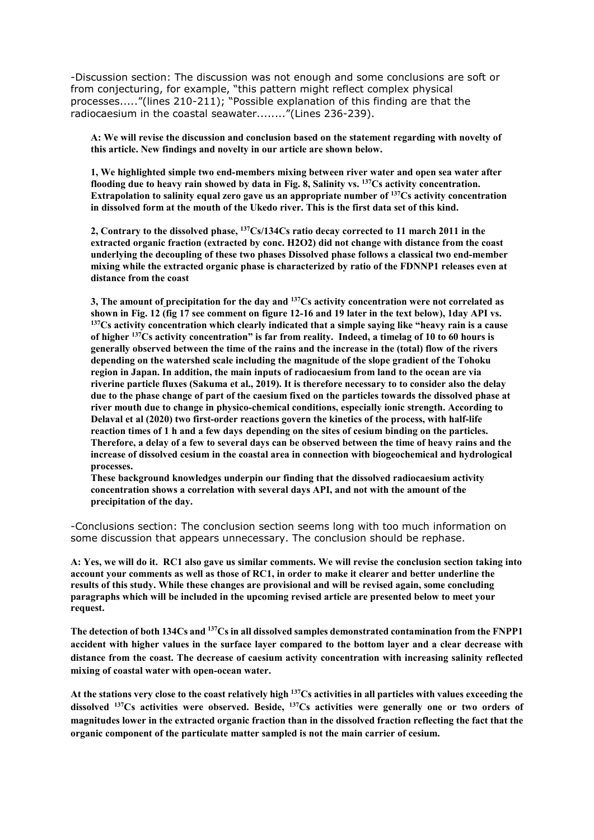-Discussion section: The discussion was not enough and some conclusions are soft or from conjecturing, for example, "this pattern might reflect complex physical processes....."(lines 210-211); "Possible explanation of this finding are that the radiocaesium in the coastal seawater........"(Lines 236-239).

**A: We will revise the discussion and conclusion based on the statement regarding with novelty of this article. New findings and novelty in our article are shown below.**

**1, We highlighted simple two end-members mixing between river water and open sea water after flooding due to heavy rain showed by data in Fig. 8, Salinity vs. 137Cs activity concentration. Extrapolation to salinity equal zero gave us an appropriate number of 137Cs activity concentration in dissolved form at the mouth of the Ukedo river. This is the first data set of this kind.** 

**2, Contrary to the dissolved phase, 137Cs/134Cs ratio decay corrected to 11 march 2011 in the extracted organic fraction (extracted by conc. H2O2) did not change with distance from the coast underlying the decoupling of these two phases Dissolved phase follows a classical two end-member mixing while the extracted organic phase is characterized by ratio of the FDNNP1 releases even at distance from the coast**

**3, The amount of precipitation for the day and 137Cs activity concentration were not correlated as**  <sup>137</sup>Cs activity concentration which clearly indicated that a simple saying like "heavy rain is a cause **of higher 137Cs activity concentration" is far from reality. Indeed, a timelag of 10 to 60 hours is generally observed between the time of the rains and the increase in the (total) flow of the rivers depending on the watershed scale including the magnitude of the slope gradient of the Tohoku region in Japan. In addition, the main inputs of radiocaesium from land to the ocean are via riverine particle fluxes (Sakuma et al., 2019). It is therefore necessary to to consider also the delay due to the phase change of part of the caesium fixed on the particles towards the dissolved phase at river mouth due to change in physico-chemical conditions, especially ionic strength. According to Delaval et al (2020) two first-order reactions govern the kinetics of the process, with half-life reaction times of 1 h and a few days depending on the sites of cesium binding on the particles. Therefore, a delay of a few to several days can be observed between the time of heavy rains and the increase of dissolved cesium in the coastal area in connection with biogeochemical and hydrological processes.** 

**These background knowledges underpin our finding that the dissolved radiocaesium activity concentration shows a correlation with several days API, and not with the amount of the precipitation of the day.** 

-Conclusions section: The conclusion section seems long with too much information on some discussion that appears unnecessary. The conclusion should be rephase.

**A: Yes, we will do it. RC1 also gave us similar comments. We will revise the conclusion section taking into account your comments as well as those of RC1, in order to make it clearer and better underline the results of this study. While these changes are provisional and will be revised again, some concluding paragraphs which will be included in the upcoming revised article are presented below to meet your request.**

**The detection of both 134Cs and 137Cs in all dissolved samples demonstrated contamination from the FNPP1 accident with higher values in the surface layer compared to the bottom layer and a clear decrease with distance from the coast. The decrease of caesium activity concentration with increasing salinity reflected mixing of coastal water with open-ocean water.** 

**At the stations very close to the coast relatively high 137Cs activities in all particles with values exceeding the dissolved 137Cs activities were observed. Beside, 137Cs activities were generally one or two orders of magnitudes lower in the extracted organic fraction than in the dissolved fraction reflecting the fact that the organic component of the particulate matter sampled is not the main carrier of cesium.**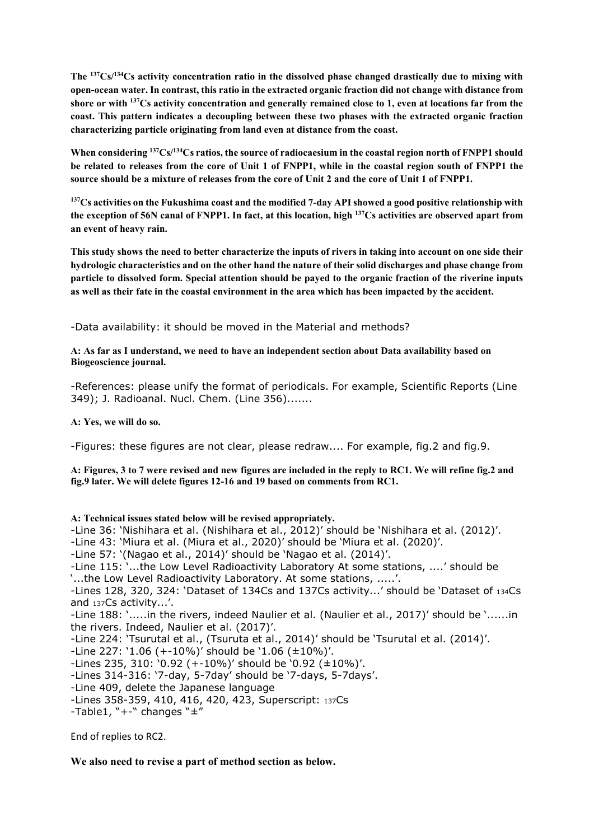**The 137Cs/134Cs activity concentration ratio in the dissolved phase changed drastically due to mixing with open-ocean water. In contrast, this ratio in the extracted organic fraction did not change with distance from shore or with 137Cs activity concentration and generally remained close to 1, even at locations far from the coast. This pattern indicates a decoupling between these two phases with the extracted organic fraction characterizing particle originating from land even at distance from the coast.** 

**When considering 137Cs/134Cs ratios, the source of radiocaesium in the coastal region north of FNPP1 should be related to releases from the core of Unit 1 of FNPP1, while in the coastal region south of FNPP1 the source should be a mixture of releases from the core of Unit 2 and the core of Unit 1 of FNPP1.**

**137Cs activities on the Fukushima coast and the modified 7-day API showed a good positive relationship with the exception of 56N canal of FNPP1. In fact, at this location, high 137Cs activities are observed apart from an event of heavy rain.** 

**This study shows the need to better characterize the inputs of rivers in taking into account on one side their hydrologic characteristics and on the other hand the nature of their solid discharges and phase change from particle to dissolved form. Special attention should be payed to the organic fraction of the riverine inputs as well as their fate in the coastal environment in the area which has been impacted by the accident.** 

-Data availability: it should be moved in the Material and methods?

**A: As far as I understand, we need to have an independent section about Data availability based on Biogeoscience journal.**

-References: please unify the format of periodicals. For example, Scientific Reports (Line 349); J. Radioanal. Nucl. Chem. (Line 356).......

**A: Yes, we will do so.**

-Figures: these figures are not clear, please redraw.... For example, fig.2 and fig.9.

**A: Figures, 3 to 7 were revised and new figures are included in the reply to RC1. We will refine fig.2 and fig.9 later. We will delete figures 12-16 and 19 based on comments from RC1.**

**A: Technical issues stated below will be revised appropriately.**

-Line 36: 'Nishihara et al. (Nishihara et al., 2012)' should be 'Nishihara et al. (2012)'.

-Line 43: 'Miura et al. (Miura et al., 2020)' should be 'Miura et al. (2020)'.

-Line 57: '(Nagao et al., 2014)' should be 'Nagao et al. (2014)'.

-Line 115: '...the Low Level Radioactivity Laboratory At some stations, ....' should be

'...the Low Level Radioactivity Laboratory. At some stations, .....'.

-Lines 128, 320, 324: 'Dataset of 134Cs and 137Cs activity...' should be 'Dataset of 134Cs and 137Cs activity...'.

-Line 188: '.....in the rivers, indeed Naulier et al. (Naulier et al., 2017)' should be '......in the rivers. Indeed, Naulier et al. (2017)'.

-Line 224: 'Tsurutal et al., (Tsuruta et al., 2014)' should be 'Tsurutal et al. (2014)'.

-Line 227: '1.06 (+-10%)' should be '1.06 (±10%)'.

-Lines 235, 310: '0.92 (+-10%)' should be '0.92 (±10%)'.

-Lines 314-316: '7-day, 5-7day' should be '7-days, 5-7days'.

-Line 409, delete the Japanese language

-Lines 358-359, 410, 416, 420, 423, Superscript: 137Cs

-Table1, " $+$ -" changes " $\pm$ "

End of replies to RC2.

**We also need to revise a part of method section as below.**